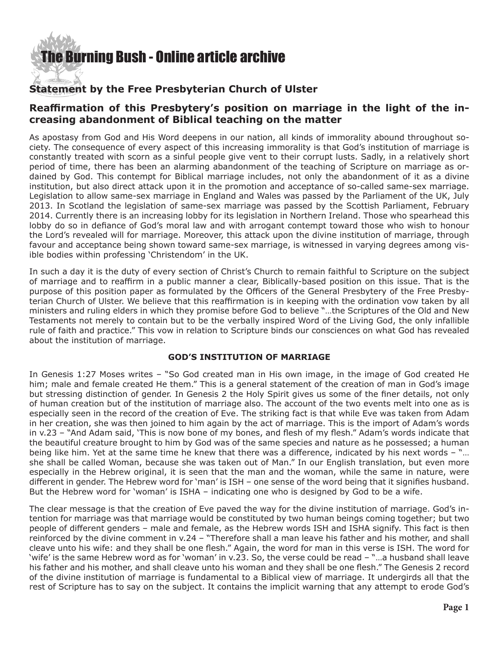# **he Burning Bush - Online article archive**

## **Statement by the Free Presbyterian Church of Ulster**

### **Reaffirmation of this Presbytery's position on marriage in the light of the increasing abandonment of Biblical teaching on the matter**

As apostasy from God and His Word deepens in our nation, all kinds of immorality abound throughout society. The consequence of every aspect of this increasing immorality is that God's institution of marriage is constantly treated with scorn as a sinful people give vent to their corrupt lusts. Sadly, in a relatively short period of time, there has been an alarming abandonment of the teaching of Scripture on marriage as ordained by God. This contempt for Biblical marriage includes, not only the abandonment of it as a divine institution, but also direct attack upon it in the promotion and acceptance of so-called same-sex marriage. Legislation to allow same-sex marriage in England and Wales was passed by the Parliament of the UK, July 2013. In Scotland the legislation of same-sex marriage was passed by the Scottish Parliament, February 2014. Currently there is an increasing lobby for its legislation in Northern Ireland. Those who spearhead this lobby do so in defiance of God's moral law and with arrogant contempt toward those who wish to honour the Lord's revealed will for marriage. Moreover, this attack upon the divine institution of marriage, through favour and acceptance being shown toward same-sex marriage, is witnessed in varying degrees among visible bodies within professing 'Christendom' in the UK.

In such a day it is the duty of every section of Christ's Church to remain faithful to Scripture on the subject of marriage and to reaffirm in a public manner a clear, Biblically-based position on this issue. That is the purpose of this position paper as formulated by the Officers of the General Presbytery of the Free Presbyterian Church of Ulster. We believe that this reaffirmation is in keeping with the ordination vow taken by all ministers and ruling elders in which they promise before God to believe "…the Scriptures of the Old and New Testaments not merely to contain but to be the verbally inspired Word of the Living God, the only infallible rule of faith and practice." This vow in relation to Scripture binds our consciences on what God has revealed about the institution of marriage.

#### **GOD'S INSTITUTION OF MARRIAGE**

In Genesis 1:27 Moses writes – "So God created man in His own image, in the image of God created He him; male and female created He them." This is a general statement of the creation of man in God's image but stressing distinction of gender. In Genesis 2 the Holy Spirit gives us some of the finer details, not only of human creation but of the institution of marriage also. The account of the two events melt into one as is especially seen in the record of the creation of Eve. The striking fact is that while Eve was taken from Adam in her creation, she was then joined to him again by the act of marriage. This is the import of Adam's words in v.23 – "And Adam said, 'This is now bone of my bones, and flesh of my flesh." Adam's words indicate that the beautiful creature brought to him by God was of the same species and nature as he possessed; a human being like him. Yet at the same time he knew that there was a difference, indicated by his next words – "… she shall be called Woman, because she was taken out of Man." In our English translation, but even more especially in the Hebrew original, it is seen that the man and the woman, while the same in nature, were different in gender. The Hebrew word for 'man' is ISH – one sense of the word being that it signifies husband. But the Hebrew word for 'woman' is ISHA – indicating one who is designed by God to be a wife.

The clear message is that the creation of Eve paved the way for the divine institution of marriage. God's intention for marriage was that marriage would be constituted by two human beings coming together; but two people of different genders – male and female, as the Hebrew words ISH and ISHA signify. This fact is then reinforced by the divine comment in v.24 – "Therefore shall a man leave his father and his mother, and shall cleave unto his wife: and they shall be one flesh." Again, the word for man in this verse is ISH. The word for 'wife' is the same Hebrew word as for 'woman' in v.23. So, the verse could be read – "…a husband shall leave his father and his mother, and shall cleave unto his woman and they shall be one flesh." The Genesis 2 record of the divine institution of marriage is fundamental to a Biblical view of marriage. It undergirds all that the rest of Scripture has to say on the subject. It contains the implicit warning that any attempt to erode God's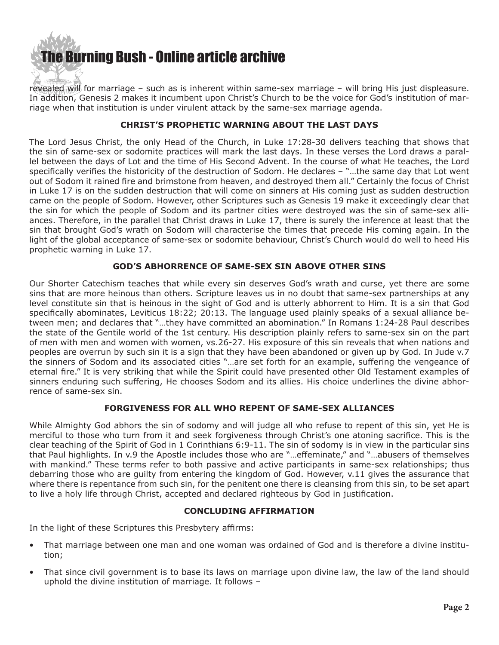

revealed will for marriage – such as is inherent within same-sex marriage – will bring His just displeasure. In addition, Genesis 2 makes it incumbent upon Christ's Church to be the voice for God's institution of marriage when that institution is under virulent attack by the same-sex marriage agenda.

#### **CHRIST'S PROPHETIC WARNING ABOUT THE LAST DAYS**

The Lord Jesus Christ, the only Head of the Church, in Luke 17:28-30 delivers teaching that shows that the sin of same-sex or sodomite practices will mark the last days. In these verses the Lord draws a parallel between the days of Lot and the time of His Second Advent. In the course of what He teaches, the Lord specifically verifies the historicity of the destruction of Sodom. He declares – "…the same day that Lot went out of Sodom it rained fire and brimstone from heaven, and destroyed them all." Certainly the focus of Christ in Luke 17 is on the sudden destruction that will come on sinners at His coming just as sudden destruction came on the people of Sodom. However, other Scriptures such as Genesis 19 make it exceedingly clear that the sin for which the people of Sodom and its partner cities were destroyed was the sin of same-sex alliances. Therefore, in the parallel that Christ draws in Luke 17, there is surely the inference at least that the sin that brought God's wrath on Sodom will characterise the times that precede His coming again. In the light of the global acceptance of same-sex or sodomite behaviour, Christ's Church would do well to heed His prophetic warning in Luke 17.

#### **GOD'S ABHORRENCE OF SAME-SEX SIN ABOVE OTHER SINS**

Our Shorter Catechism teaches that while every sin deserves God's wrath and curse, yet there are some sins that are more heinous than others. Scripture leaves us in no doubt that same-sex partnerships at any level constitute sin that is heinous in the sight of God and is utterly abhorrent to Him. It is a sin that God specifically abominates, Leviticus 18:22; 20:13. The language used plainly speaks of a sexual alliance between men; and declares that "…they have committed an abomination." In Romans 1:24-28 Paul describes the state of the Gentile world of the 1st century. His description plainly refers to same-sex sin on the part of men with men and women with women, vs.26-27. His exposure of this sin reveals that when nations and peoples are overrun by such sin it is a sign that they have been abandoned or given up by God. In Jude v.7 the sinners of Sodom and its associated cities "…are set forth for an example, suffering the vengeance of eternal fire." It is very striking that while the Spirit could have presented other Old Testament examples of sinners enduring such suffering, He chooses Sodom and its allies. His choice underlines the divine abhorrence of same-sex sin.

#### **FORGIVENESS FOR ALL WHO REPENT OF SAME-SEX ALLIANCES**

While Almighty God abhors the sin of sodomy and will judge all who refuse to repent of this sin, yet He is merciful to those who turn from it and seek forgiveness through Christ's one atoning sacrifice. This is the clear teaching of the Spirit of God in 1 Corinthians 6:9-11. The sin of sodomy is in view in the particular sins that Paul highlights. In v.9 the Apostle includes those who are "…effeminate," and "…abusers of themselves with mankind." These terms refer to both passive and active participants in same-sex relationships; thus debarring those who are guilty from entering the kingdom of God. However, v.11 gives the assurance that where there is repentance from such sin, for the penitent one there is cleansing from this sin, to be set apart to live a holy life through Christ, accepted and declared righteous by God in justification.

#### **CONCLUDING AFFIRMATION**

In the light of these Scriptures this Presbytery affirms:

- That marriage between one man and one woman was ordained of God and is therefore a divine institution;
- That since civil government is to base its laws on marriage upon divine law, the law of the land should uphold the divine institution of marriage. It follows –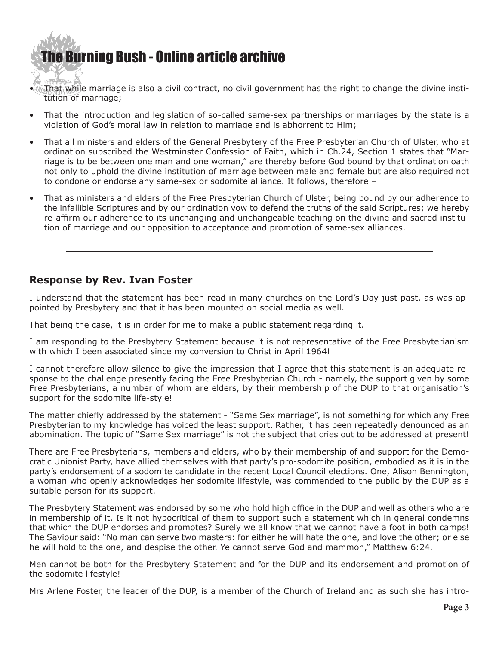# [The Bur](http://www.ivanfoster.net)ning Bush - Online article archive

- $\sqrt[n]{m}$  that while marriage is also a civil contract, no civil government has the right to change the divine institution of marriage;
- That the introduction and legislation of so-called same-sex partnerships or marriages by the state is a violation of God's moral law in relation to marriage and is abhorrent to Him;
- That all ministers and elders of the General Presbytery of the Free Presbyterian Church of Ulster, who at ordination subscribed the Westminster Confession of Faith, which in Ch.24, Section 1 states that "Marriage is to be between one man and one woman," are thereby before God bound by that ordination oath not only to uphold the divine institution of marriage between male and female but are also required not to condone or endorse any same-sex or sodomite alliance. It follows, therefore –
- That as ministers and elders of the Free Presbyterian Church of Ulster, being bound by our adherence to the infallible Scriptures and by our ordination vow to defend the truths of the said Scriptures; we hereby re-affirm our adherence to its unchanging and unchangeable teaching on the divine and sacred institution of marriage and our opposition to acceptance and promotion of same-sex alliances.

### **Response by Rev. Ivan Foster**

I understand that the statement has been read in many churches on the Lord's Day just past, as was appointed by Presbytery and that it has been mounted on social media as well.

That being the case, it is in order for me to make a public statement regarding it.

I am responding to the Presbytery Statement because it is not representative of the Free Presbyterianism with which I been associated since my conversion to Christ in April 1964!

I cannot therefore allow silence to give the impression that I agree that this statement is an adequate response to the challenge presently facing the Free Presbyterian Church - namely, the support given by some Free Presbyterians, a number of whom are elders, by their membership of the DUP to that organisation's support for the sodomite life-style!

The matter chiefly addressed by the statement - "Same Sex marriage", is not something for which any Free Presbyterian to my knowledge has voiced the least support. Rather, it has been repeatedly denounced as an abomination. The topic of "Same Sex marriage" is not the subject that cries out to be addressed at present!

There are Free Presbyterians, members and elders, who by their membership of and support for the Democratic Unionist Party, have allied themselves with that party's pro-sodomite position, embodied as it is in the party's endorsement of a sodomite candidate in the recent Local Council elections. One, Alison Bennington, a woman who openly acknowledges her sodomite lifestyle, was commended to the public by the DUP as a suitable person for its support.

The Presbytery Statement was endorsed by some who hold high office in the DUP and well as others who are in membership of it. Is it not hypocritical of them to support such a statement which in general condemns that which the DUP endorses and promotes? Surely we all know that we cannot have a foot in both camps! The Saviour said: "No man can serve two masters: for either he will hate the one, and love the other; or else he will hold to the one, and despise the other. Ye cannot serve God and mammon," Matthew 6:24.

Men cannot be both for the Presbytery Statement and for the DUP and its endorsement and promotion of the sodomite lifestyle!

Mrs Arlene Foster, the leader of the DUP, is a member of the Church of Ireland and as such she has intro-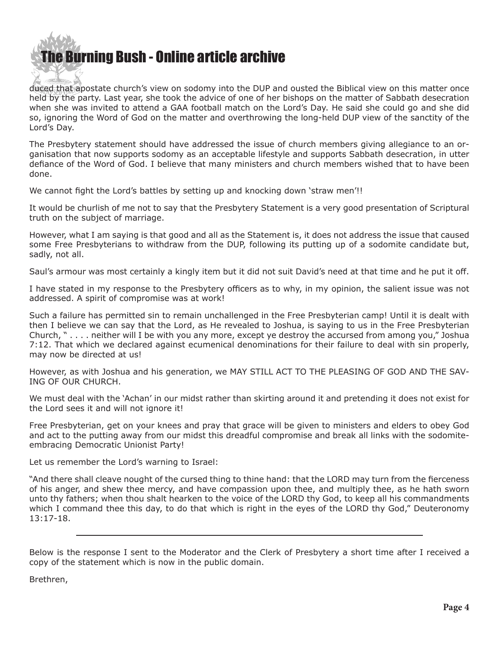

duced that apostate church's view on sodomy into the DUP and ousted the Biblical view on this matter once held by the party. Last year, she took the advice of one of her bishops on the matter of Sabbath desecration when she was invited to attend a GAA football match on the Lord's Day. He said she could go and she did so, ignoring the Word of God on the matter and overthrowing the long-held DUP view of the sanctity of the Lord's Day.

The Presbytery statement should have addressed the issue of church members giving allegiance to an organisation that now supports sodomy as an acceptable lifestyle and supports Sabbath desecration, in utter defiance of the Word of God. I believe that many ministers and church members wished that to have been done.

We cannot fight the Lord's battles by setting up and knocking down 'straw men'!!

It would be churlish of me not to say that the Presbytery Statement is a very good presentation of Scriptural truth on the subject of marriage.

However, what I am saying is that good and all as the Statement is, it does not address the issue that caused some Free Presbyterians to withdraw from the DUP, following its putting up of a sodomite candidate but, sadly, not all.

Saul's armour was most certainly a kingly item but it did not suit David's need at that time and he put it off.

I have stated in my response to the Presbytery officers as to why, in my opinion, the salient issue was not addressed. A spirit of compromise was at work!

Such a failure has permitted sin to remain unchallenged in the Free Presbyterian camp! Until it is dealt with then I believe we can say that the Lord, as He revealed to Joshua, is saying to us in the Free Presbyterian Church, " . . . . neither will I be with you any more, except ye destroy the accursed from among you," Joshua 7:12. That which we declared against ecumenical denominations for their failure to deal with sin properly, may now be directed at us!

However, as with Joshua and his generation, we MAY STILL ACT TO THE PLEASING OF GOD AND THE SAV-ING OF OUR CHURCH.

We must deal with the 'Achan' in our midst rather than skirting around it and pretending it does not exist for the Lord sees it and will not ignore it!

Free Presbyterian, get on your knees and pray that grace will be given to ministers and elders to obey God and act to the putting away from our midst this dreadful compromise and break all links with the sodomiteembracing Democratic Unionist Party!

Let us remember the Lord's warning to Israel:

"And there shall cleave nought of the cursed thing to thine hand: that the LORD may turn from the fierceness of his anger, and shew thee mercy, and have compassion upon thee, and multiply thee, as he hath sworn unto thy fathers; when thou shalt hearken to the voice of the LORD thy God, to keep all his commandments which I command thee this day, to do that which is right in the eyes of the LORD thy God," Deuteronomy 13:17-18.

Below is the response I sent to the Moderator and the Clerk of Presbytery a short time after I received a copy of the statement which is now in the public domain.

Brethren,